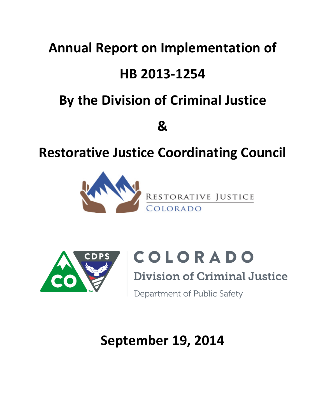## **Annual Report on Implementation of**

## **HB 2013-1254**

# **By the Division of Criminal Justice**

**&**

## **Restorative Justice Coordinating Council**





COLORADO

**Division of Criminal Justice** 

Department of Public Safety

# **September 19, 2014**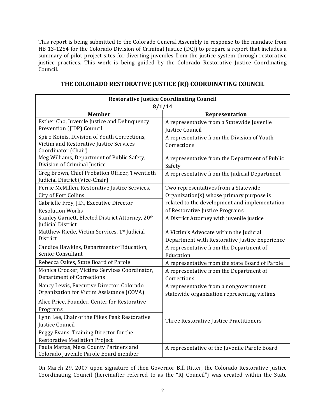This report is being submitted to the Colorado General Assembly in response to the mandate from HB 13-1254 for the Colorado Division of Criminal Justice (DCJ) to prepare a report that includes a summary of pilot project sites for diverting juveniles from the justice system through restorative justice practices. This work is being guided by the Colorado Restorative Justice Coordinating Council. 

|                                                                                                                | <b>Restorative Justice Coordinating Council</b>                                           |
|----------------------------------------------------------------------------------------------------------------|-------------------------------------------------------------------------------------------|
|                                                                                                                | 8/1/14                                                                                    |
| <b>Member</b>                                                                                                  | Representation                                                                            |
| Esther Cho, Juvenile Justice and Delinquency<br>Prevention (JJDP) Council                                      | A representative from a Statewide Juvenile<br>Justice Council                             |
| Spiro Koinis, Division of Youth Corrections,<br>Victim and Restorative Justice Services<br>Coordinator (Chair) | A representative from the Division of Youth<br>Corrections                                |
| Meg Williams, Department of Public Safety,<br>Division of Criminal Justice                                     | A representative from the Department of Public<br>Safety                                  |
| Greg Brown, Chief Probation Officer, Twentieth<br>Judicial District (Vice-Chair)                               | A representative from the Judicial Department                                             |
| Perrie McMillen, Restorative Justice Services,<br><b>City of Fort Collins</b>                                  | Two representatives from a Statewide<br>Organization(s) whose primary purpose is          |
| Gabrielle Frey, J.D., Executive Director<br><b>Resolution Works</b>                                            | related to the development and implementation<br>of Restorative Justice Programs          |
| Stanley Garnett, Elected District Attorney, 20th<br>Judicial District                                          | A District Attorney with juvenile justice                                                 |
| Matthew Riede, Victim Services, 1st Judicial<br>District                                                       | A Victim's Advocate within the Judicial<br>Department with Restorative Justice Experience |
| Candice Hawkins, Department of Education,<br><b>Senior Consultant</b>                                          | A representative from the Department of<br>Education                                      |
| Rebecca Oakes, State Board of Parole                                                                           | A representative from the state Board of Parole                                           |
| Monica Crocker, Victims Services Coordinator,<br><b>Department of Corrections</b>                              | A representative from the Department of<br>Corrections                                    |
| Nancy Lewis, Executive Director, Colorado<br>Organization for Victim Assistance (COVA)                         | A representative from a nongovernment<br>statewide organization representing victims      |
| Alice Price, Founder, Center for Restorative<br>Programs                                                       |                                                                                           |
| Lynn Lee, Chair of the Pikes Peak Restorative<br>Justice Council                                               | Three Restorative Justice Practitioners                                                   |
| Peggy Evans, Training Director for the<br><b>Restorative Mediation Project</b>                                 |                                                                                           |
| Paula Mattas, Mesa County Partners and<br>Colorado Juvenile Parole Board member                                | A representative of the Juvenile Parole Board                                             |

## THE COLORADO RESTORATIVE JUSTICE (RJ) COORDINATING COUNCIL

On March 29, 2007 upon signature of then Governor Bill Ritter, the Colorado Restorative Justice Coordinating Council (hereinafter referred to as the "RJ Council") was created within the State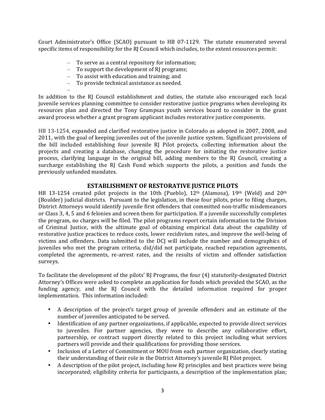Court Administrator's Office (SCAO) pursuant to HB 07-1129. The statute enumerated several specific items of responsibility for the RI Council which includes, to the extent resources permit:

- $-$  To serve as a central repository for information;
- $-$  To support the development of RI programs;
- $-$  To assist with education and training; and
- To provide technical assistance as needed.

–

In addition to the RJ Council establishment and duties, the statute also encouraged each local juvenile services planning committee to consider restorative justice programs when developing its resources plan and directed the Tony Grampsas youth services board to consider in the grant award process whether a grant program applicant includes restorative justice components.

HB 13-1254, expanded and clarified restorative justice in Colorado as adopted in 2007, 2008, and 2011, with the goal of keeping juveniles out of the juvenile justice system. Significant provisions of the bill included establishing four juvenile RJ Pilot projects, collecting information about the projects and creating a database, changing the procedure for initiating the restorative justice process, clarifying language in the original bill, adding members to the RJ Council, creating a surcharge establishing the  $RJ$  Cash Fund which supports the pilots, a position and funds the previously unfunded mandates.

### **ESTABLISHMENT OF RESTORATIVE JUSTICE PILOTS**

HB 13-1254 created pilot projects in the 10th (Pueblo), 12<sup>th</sup> (Alamosa), 19<sup>th</sup> (Weld) and 20<sup>th</sup> (Boulder) judicial districts. Pursuant to the legislation, in these four pilots, prior to filing charges, District Attorneys would identify juvenile first offenders that committed non-traffic misdemeanors or Class 3, 4, 5 and 6 felonies and screen them for participation. If a juvenile successfully completes the program, no charges will be filed. The pilot programs report certain information to the Division of Criminal Justice, with the ultimate goal of obtaining empirical data about the capability of restorative justice practices to reduce costs, lower recidivism rates, and improve the well-being of victims and offenders. Data submitted to the DCJ will include the number and demographics of juveniles who met the program criteria, did/did not participate, reached reparation agreements, completed the agreements, re-arrest rates, and the results of victim and offender satisfaction surveys.

To facilitate the development of the pilots' RJ Programs, the four (4) statutorily-designated District Attorney's Offices were asked to complete an application for funds which provided the SCAO, as the funding agency, and the RJ Council with the detailed information required for proper implementation. This information included:

- A description of the project's target group of juvenile offenders and an estimate of the number of juveniles anticipated to be served.
- Identification of any partner organizations, if applicable, expected to provide direct services to juveniles. For partner agencies, they were to describe any collaborative effort, partnership, or contract support directly related to this project including what services partners will provide and their qualifications for providing those services.
- Inclusion of a Letter of Commitment or MOU from each partner organization, clearly stating their understanding of their role in the District Attorney's juvenile RJ Pilot project.
- A description of the pilot project, including how RI principles and best practices were being incorporated; eligibility criteria for participants, a description of the implementation plan;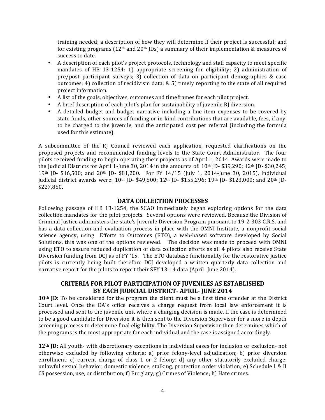training needed; a description of how they will determine if their project is successful; and for existing programs  $(12<sup>th</sup>$  and  $20<sup>th</sup>$  JDs) a summary of their implementation & measures of success to date.

- A description of each pilot's project protocols, technology and staff capacity to meet specific mandates of HB 13-1254: 1) appropriate screening for eligibility; 2) administration of pre/post participant surveys; 3) collection of data on participant demographics  $\&$  case outcomes; 4) collection of recidivism data;  $& 5$ ) timely reporting to the state of all required project information.
- A list of the goals, objectives, outcomes and timeframes for each pilot project.
- A brief description of each pilot's plan for sustainability of juvenile  $R$  diversion.
- A detailed budget and budget narrative including a line item expenses to be covered by state funds, other sources of funding or in-kind contributions that are available, fees, if any, to be charged to the juvenile, and the anticipated cost per referral (including the formula used for this estimate).

A subcommittee of the RJ Council reviewed each application, requested clarifications on the proposed projects and recommended funding levels to the State Court Administrator. The four pilots received funding to begin operating their projects as of April 1, 2014. Awards were made to the Judicial Districts for April 1-June 30, 2014 in the amounts of:  $10<sup>th</sup>$  JD- \$39,290;  $12<sup>th</sup>$  JD- \$30,245;  $19<sup>th</sup>$  JD- \$16,500; and  $20<sup>th</sup>$  JD- \$81,200. For FY 14/15 (July 1, 2014-June 30, 2015), individual judicial district awards were: 10<sup>th</sup> JD- \$49,500; 12<sup>th</sup> JD- \$155,296; 19<sup>th</sup> JD- \$123,000; and 20<sup>th</sup> JD-\$227,850. 

#### **DATA COLLECTION PROCESSES**

Following passage of HB 13-1254, the SCAO immediately began exploring options for the data collection mandates for the pilot projects. Several options were reviewed. Because the Division of Criminal Justice administers the state's Juvenile Diversion Program pursuant to 19-2-303 C.R.S. and has a data collection and evaluation process in place with the OMNI Institute, a nonprofit social science agency, using Efforts to Outcomes (ETO), a web-based software developed by Social Solutions, this was one of the options reviewed. The decision was made to proceed with OMNI using ETO to assure reduced duplication of data collection efforts as all 4 pilots also receive State Diversion funding from DCJ as of FY '15. The ETO database functionality for the restorative justice pilots is currently being built therefore DCJ developed a written quarterly data collection and narrative report for the pilots to report their SFY 13-14 data (April- June 2014).

## **CRITERIA FOR PILOT PARTICIPATION OF JUVENILES AS ESTABLISHED BY EACH JUDICIAL DISTRICT- APRIL- JUNE 2014**

**10<sup>th</sup> JD:** To be considered for the program the client must be a first time offender at the District Court level. Once the DA's office receives a charge request from local law enforcement it is processed and sent to the juvenile unit where a charging decision is made. If the case is determined to be a good candidate for Diversion it is then sent to the Diversion Supervisor for a more in depth screening process to determine final eligibility. The Diversion Supervisor then determines which of the programs is the most appropriate for each individual and the case is assigned accordingly.

**12<sup>th</sup>** JD: All youth- with discretionary exceptions in individual cases for inclusion or exclusion- not otherwise excluded by following criteria: a) prior felony-level adjudication; b) prior diversion enrollment; c) current charge of class 1 or 2 felony; d) any other statutorily excluded charge: unlawful sexual behavior, domestic violence, stalking, protection order violation; e) Schedule I & II CS possession, use, or distribution; f) Burglary; g) Crimes of Violence; h) Hate crimes.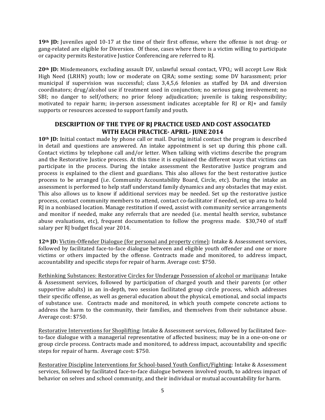**19<sup>th</sup> JD:** Juveniles aged 10-17 at the time of their first offense, where the offense is not drug- or gang-related are eligible for Diversion. Of those, cases where there is a victim willing to participate or capacity permits Restorative Justice Conferencing are referred to RJ.

20<sup>th</sup> JD: Misdemeanors, excluding assault DV, unlawful sexual contact, VPO,; will accept Low Risk High Need (LRHN) youth; low or moderate on CJRA; some sexting; some DV harassment; prior municipal if supervision was successful; class 3,4,5,6 felonies as staffed by DA and diversion coordinators; drug/alcohol use if treatment used in conjunction; no serious gang involvement; no SBI; no danger to self/others; no prior felony adjudication; juvenile is taking responsibility; motivated to repair harm; in-person assessment indicates acceptable for  $RI$  or  $RI$ + and family supports or resources accessed to support family and youth.

## **DESCRIPTION OF THE TYPE OF RI PRACTICE USED AND COST ASSOCIATED WITH EACH PRACTICE- APRIL- JUNE 2014**

**10<sup>th</sup> JD:** Initial contact made by phone call or mail. During initial contact the program is described in detail and questions are answered. An intake appointment is set up during this phone call. Contact victims by telephone call and/or letter. When talking with victims describe the program and the Restorative Justice process. At this time it is explained the different ways that victims can participate in the process. During the intake assessment the Restorative Justice program and process is explained to the client and guardians. This also allows for the best restorative justice process to be arranged (i.e. Community Accountability Board, Circle, etc). During the intake an assessment is performed to help staff understand family dynamics and any obstacles that may exist. This also allows us to know if additional services may be needed. Set up the restorative justice process, contact community members to attend, contact co-facilitator if needed, set up area to hold RJ in a nonbiased location. Manage restitution if owed, assist with community service arrangements and monitor if needed, make any referrals that are needed (i.e. mental health service, substance abuse evaluations, etc), frequent documentation to follow the progress made.  $$30,740$  of staff salary per RJ budget fiscal year 2014.

**12<sup>th</sup> JD:** Victim-Offender Dialogue (for personal and property crime): Intake & Assessment services, followed by facilitated face-to-face dialogue between and eligible youth offender and one or more victims or others impacted by the offense. Contracts made and monitored, to address impact, accountability and specific steps for repair of harm. Average cost: \$750.

Rethinking Substances: Restorative Circles for Underage Possession of alcohol or marijuana: Intake & Assessment services, followed by participation of charged youth and their parents (or other supportive adults) in an in-depth, two session facilitated group circle process, which addresses their specific offense, as well as general education about the physical, emotional, and social impacts of substance use. Contracts made and monitored, in which youth compete concrete actions to address the harm to the community, their families, and themselves from their substance abuse. Average cost: \$750.

Restorative Interventions for Shoplifting: Intake & Assessment services, followed by facilitated faceto-face dialogue with a managerial representative of affected business; may be in a one-on-one or group circle process. Contracts made and monitored, to address impact, accountability and specific steps for repair of harm. Average cost: \$750.

Restorative Discipline Interventions for School-based Youth Conflict/Fighting: Intake & Assessment services, followed by facilitated face-to-face dialogue between involved youth, to address impact of behavior on selves and school community, and their individual or mutual accountability for harm.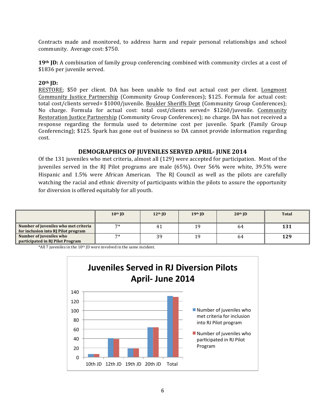Contracts made and monitored, to address harm and repair personal relationships and school community. Average cost: \$750.

**19th JD:** A combination of family group conferencing combined with community circles at a cost of \$1836 per juvenile served.

#### **20th JD:**

RESTORE; \$50 per client. DA has been unable to find out actual cost per client. Longmont Community Justice Partnership (Community Group Conferences); \$125. Formula for actual cost: total cost/clients served= \$1000/juvenile. Boulder Sheriffs Dept (Community Group Conferences); No charge. Formula for actual cost: total cost/clients served= \$1260/juvenile. Community Restoration Justice Partnership (Community Group Conferences); no charge. DA has not received a response regarding the formula used to determine cost per juvenile. Spark (Family Group Conferencing); \$125. Spark has gone out of business so DA cannot provide information regarding cost.

#### **DEMOGRAPHICS OF JUVENILES SERVED APRIL- JUNE 2014**

Of the 131 juveniles who met criteria, almost all (129) were accepted for participation. Most of the juveniles served in the RJ Pilot programs are male  $(65%)$ . Over  $56%$  were white, 39.5% were Hispanic and 1.5% were African American. The RJ Council as well as the pilots are carefully watching the racial and ethnic diversity of participants within the pilots to assure the opportunity for diversion is offered equitably for all youth.

|                                                                             | $10th$ ID | $12th$ JD | 19th JD | $20th$ JD | <b>Total</b> |
|-----------------------------------------------------------------------------|-----------|-----------|---------|-----------|--------------|
| Number of juveniles who met criteria<br>for inclusion into RI Pilot program | $7*$      | 41        | 19      | 64        | 131          |
| Number of juveniles who<br>participated in RI Pilot Program                 | 7*        | 39        | 19      | 64        | 129          |

 $*$ All 7 juveniles in the 10<sup>th</sup> JD were involved in the same incident.

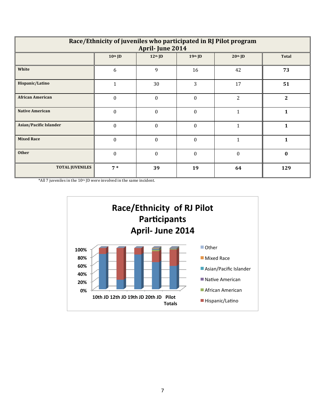| Race/Ethnicity of juveniles who participated in RJ Pilot program<br>April-June 2014 |                                                                  |                  |                  |                |              |  |  |  |  |  |
|-------------------------------------------------------------------------------------|------------------------------------------------------------------|------------------|------------------|----------------|--------------|--|--|--|--|--|
|                                                                                     | $10th$ JD<br>$12th$ JD<br>$19th$ JD<br>$20th$ JD<br><b>Total</b> |                  |                  |                |              |  |  |  |  |  |
| White                                                                               | 6                                                                | 9                | 16               | 42             | 73           |  |  |  |  |  |
| Hispanic/Latino                                                                     | $\mathbf{1}$                                                     | 30               | 3                | 17             | 51           |  |  |  |  |  |
| <b>African American</b>                                                             | $\theta$                                                         | $\boldsymbol{0}$ | $\boldsymbol{0}$ | $\overline{2}$ | $\mathbf{2}$ |  |  |  |  |  |
| <b>Native American</b>                                                              | $\Omega$                                                         | $\Omega$         | $\theta$         | $\mathbf{1}$   | $\mathbf 1$  |  |  |  |  |  |
| <b>Asian/Pacific Islander</b>                                                       | $\Omega$                                                         | $\theta$         | $\theta$         | 1              | 1            |  |  |  |  |  |
| <b>Mixed Race</b>                                                                   | $\theta$                                                         | $\boldsymbol{0}$ | $\theta$         | $\mathbf{1}$   | 1            |  |  |  |  |  |
| <b>Other</b>                                                                        | $\theta$                                                         | $\Omega$         | $\Omega$         | $\theta$       | $\mathbf{0}$ |  |  |  |  |  |
| <b>TOTAL JUVENILES</b>                                                              | $7*$                                                             | 39               | 19               | 64             | 129          |  |  |  |  |  |

\*All 7 juveniles in the  $10<sup>th</sup>$  JD were involved in the same incident.

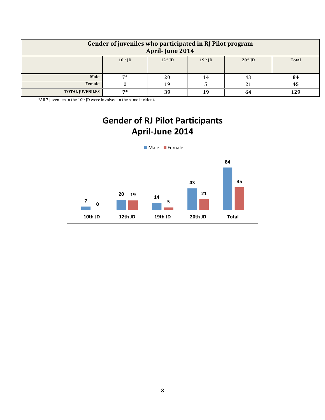| Gender of juveniles who participated in RJ Pilot program<br>April-June 2014 |                                                                |    |    |    |     |  |  |
|-----------------------------------------------------------------------------|----------------------------------------------------------------|----|----|----|-----|--|--|
|                                                                             | $10th$ JD<br>$12th$ ID<br>$20th$ ID<br>19th JD<br><b>Total</b> |    |    |    |     |  |  |
| Male                                                                        | $7*$                                                           | 20 | 14 | 43 | 84  |  |  |
| Female<br>21<br>19<br>45                                                    |                                                                |    |    |    |     |  |  |
| <b>TOTAL JUVENILES</b>                                                      | 7*                                                             | 39 | 19 | 64 | 129 |  |  |

\*All 7 juveniles in the  $10<sup>th</sup>$  JD were involved in the same incident.

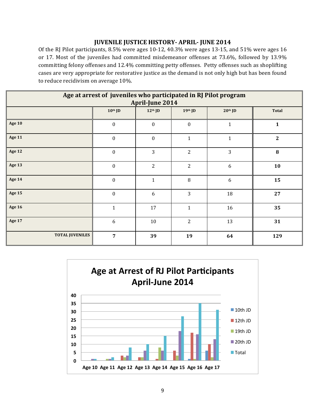#### **JUVENILE JUSTICE HISTORY- APRIL- JUNE 2014**

Of the RJ Pilot participants, 8.5% were ages 10-12, 40.3% were ages 13-15, and 51% were ages 16 or 17. Most of the juveniles had committed misdemeanor offenses at 73.6%, followed by 13.9% committing felony offenses and 12.4% committing petty offenses. Petty offenses such as shoplifting cases are very appropriate for restorative justice as the demand is not only high but has been found to reduce recidivism on average 10%.

| Age at arrest of juveniles who participated in RJ Pilot program<br><b>April-June 2014</b> |                  |                  |                  |                  |              |  |  |
|-------------------------------------------------------------------------------------------|------------------|------------------|------------------|------------------|--------------|--|--|
|                                                                                           | $10th$ JD        | $12th$ JD        | $19th$ JD        | $20th$ JD        | <b>Total</b> |  |  |
| <b>Age 10</b>                                                                             | $\boldsymbol{0}$ | $\boldsymbol{0}$ | $\boldsymbol{0}$ | $\mathbf 1$      | $\mathbf{1}$ |  |  |
| <b>Age 11</b>                                                                             | $\boldsymbol{0}$ | $\boldsymbol{0}$ | $\mathbf{1}$     | $\mathbf{1}$     | $\mathbf{2}$ |  |  |
| <b>Age 12</b>                                                                             | $\boldsymbol{0}$ | 3                | $\overline{c}$   | 3                | 8            |  |  |
| Age 13                                                                                    | $\boldsymbol{0}$ | $\overline{2}$   | $\overline{c}$   | 6                | 10           |  |  |
| <b>Age 14</b>                                                                             | $\boldsymbol{0}$ | $\mathbf{1}$     | $\, 8$           | $\boldsymbol{6}$ | 15           |  |  |
| <b>Age 15</b>                                                                             | $\boldsymbol{0}$ | 6                | 3                | 18               | 27           |  |  |
| <b>Age 16</b>                                                                             | $\mathbf{1}$     | 17               | $\mathbf{1}$     | 16               | 35           |  |  |
| <b>Age 17</b>                                                                             | 6                | 10               | $\overline{c}$   | 13               | 31           |  |  |
| <b>TOTAL JUVENILES</b>                                                                    | $\overline{7}$   | 39               | 19               | 64               | 129          |  |  |

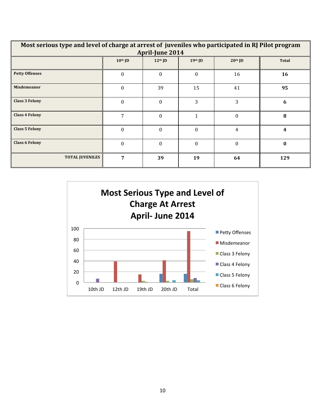| Most serious type and level of charge at arrest of juveniles who participated in RJ Pilot program<br><b>April-June 2014</b> |          |          |          |                |                  |  |  |  |  |  |
|-----------------------------------------------------------------------------------------------------------------------------|----------|----------|----------|----------------|------------------|--|--|--|--|--|
| $10th$ JD<br>19th JD<br>$20th$ ID<br><b>Total</b><br>$12th$ JD                                                              |          |          |          |                |                  |  |  |  |  |  |
| <b>Petty Offenses</b>                                                                                                       | $\theta$ | $\Omega$ | $\theta$ | 16             | 16               |  |  |  |  |  |
| Misdemeanor                                                                                                                 | $\theta$ | 39       | 15       | 41             | 95               |  |  |  |  |  |
| <b>Class 3 Felony</b>                                                                                                       | $\Omega$ | $\Omega$ | 3        | 3              | 6                |  |  |  |  |  |
| <b>Class 4 Felony</b>                                                                                                       | 7        | $\Omega$ | 1        | $\theta$       | 8                |  |  |  |  |  |
| <b>Class 5 Felony</b>                                                                                                       | $\theta$ | $\Omega$ | $\theta$ | $\overline{4}$ | $\boldsymbol{4}$ |  |  |  |  |  |
| <b>Class 6 Felony</b><br>$\Omega$<br>$\Omega$<br>$\theta$<br>$\theta$<br>$\bf{0}$                                           |          |          |          |                |                  |  |  |  |  |  |
| <b>TOTAL JUVENILES</b>                                                                                                      | 7        | 39       | 19       | 64             | 129              |  |  |  |  |  |

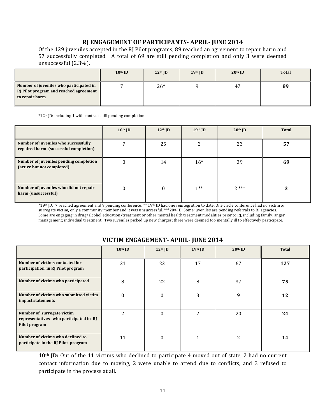#### **RJ ENGAGEMENT OF PARTICIPANTS- APRIL- JUNE 2014**

Of the 129 juveniles accepted in the RJ Pilot programs, 89 reached an agreement to repair harm and 57 successfully completed. A total of 69 are still pending completion and only 3 were deemed unsuccessful (2.3%).

|                                                                                                     | $10th$ JD | $12th$ JD | $19th$ ID | $20th$ ID | <b>Total</b> |
|-----------------------------------------------------------------------------------------------------|-----------|-----------|-----------|-----------|--------------|
| Number of juveniles who participated in<br>RJ Pilot program and reached agreement<br>to repair harm |           | $26*$     |           | 47        | 89           |

\*12<sup>th</sup> JD: including 1 with contract still pending completion

|                                                                               | $10th$ JD | $12th$ ID | $19th$ ID | $20th$ ID | <b>Total</b> |
|-------------------------------------------------------------------------------|-----------|-----------|-----------|-----------|--------------|
| Number of juveniles who successfully<br>repaired harm (successful completion) |           | 25        |           | 23        | 57           |
| Number of juveniles pending completion<br>(active but not completed)          |           | 14        | $16*$     | 39        | 69           |
| Number of juveniles who did not repair<br>harm (unsuccessful)                 |           |           | $1**$     | $2***$    |              |

\*19<sup>th</sup> JD: 7 reached agreement and 9 pending conference; \*\* 19<sup>th</sup> JD had one reintegration to date. One circle conference had no victim or surrogate victim, only a community member and it was unsuccessful. \*\*\*20th JD: Some juveniles are pending referrals to RJ agencies. Some are engaging in drug/alcohol education/treatment or other mental health treatment modalities prior to RJ, including family; anger management; individual treatment. Two juveniles picked up new charges; three were deemed too mentally ill to effectively participate.

### **VICTIM ENGAGEMENT- APRIL- JUNE 2014**

|                                                                                       | $10th$ JD | $12th$ ID | 19th JD | $20th$ JD      | Total |
|---------------------------------------------------------------------------------------|-----------|-----------|---------|----------------|-------|
| Number of victims contacted for<br>participation in RJ Pilot program                  | 21        | 22        | 17      | 67             | 127   |
| Number of victims who participated                                                    | 8         | 22        | 8       | 37             | 75    |
| Number of victims who submitted victim<br>impact statements                           | $\theta$  | 0         | 3       | 9              | 12    |
| Number of surrogate victim<br>representatives who participated in RJ<br>Pilot program | 2         | 0         | 2       | 20             | 24    |
| Number of victims who declined to<br>participate in the RJ Pilot program              | 11        | 0         |         | $\mathfrak{D}$ | 14    |

10<sup>th</sup> JD: Out of the 11 victims who declined to participate 4 moved out of state, 2 had no current contact information due to moving, 2 were unable to attend due to conflicts, and 3 refused to participate in the process at all.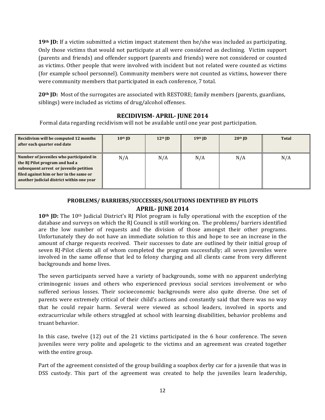**19<sup>th</sup> JD:** If a victim submitted a victim impact statement then he/she was included as participating. Only those victims that would not participate at all were considered as declining. Victim support (parents and friends) and offender support (parents and friends) were not considered or counted as victims. Other people that were involved with incident but not related were counted as victims (for example school personnel). Community members were not counted as victims, however there were community members that participated in each conference, 7 total.

**20<sup>th</sup> JD:** Most of the surrogates are associated with RESTORE; family members (parents, guardians, siblings) were included as victims of drug/alcohol offenses.

## **RECIDIVISM- APRIL- JUNE 2014**

Formal data regarding recidivism will not be available until one year post participation.

| Recidivism will be computed 12 months<br>after each quarter end date                                                                                                                                        | $10th$ JD | $12th$ ID | $19th$ ID | $20th$ JD | Total |
|-------------------------------------------------------------------------------------------------------------------------------------------------------------------------------------------------------------|-----------|-----------|-----------|-----------|-------|
| Number of juveniles who participated in<br>the RJ Pilot program and had a<br>subsequent arrest or juvenile petition<br>filed against him or her in the same or<br>another judicial district within one year | N/A       | N/A       | N/A       | N/A       | N/A   |

## PROBLEMS/BARRIERS/SUCCESSES/SOLUTIONS IDENTIFIED BY PILOTS **APRIL- JUNE 2014**

**10<sup>th</sup> JD:** The 10<sup>th</sup> Judicial District's RJ Pilot program is fully operational with the exception of the database and surveys on which the RJ Council is still working on. The problems/ barriers identified are the low number of requests and the division of those amongst their other programs. Unfortunately they do not have an immediate solution to this and hope to see an increase in the amount of charge requests received. Their successes to date are outlined by their initial group of seven RJ-Pilot clients all of whom completed the program successfully; all seven juveniles were involved in the same offense that led to felony charging and all clients came from very different backgrounds and home lives.

The seven participants served have a variety of backgrounds, some with no apparent underlying criminogenic issues and others who experienced previous social services involvement or who suffered serious losses. Their socioeconomic backgrounds were also quite diverse. One set of parents were extremely critical of their child's actions and constantly said that there was no way that he could repair harm. Several were viewed as school leaders, involved in sports and extracurricular while others struggled at school with learning disabilities, behavior problems and truant behavior.

In this case, twelve  $(12)$  out of the 21 victims participated in the 6 hour conference. The seven juveniles were very polite and apologetic to the victims and an agreement was created together with the entire group.

Part of the agreement consisted of the group building a soapbox derby car for a juvenile that was in DSS custody. This part of the agreement was created to help the juveniles learn leadership,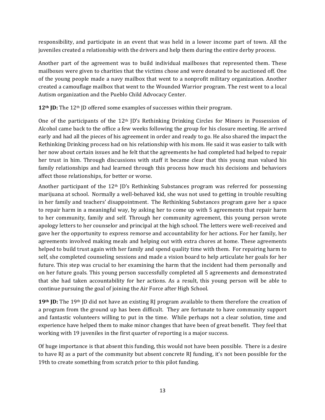responsibility, and participate in an event that was held in a lower income part of town. All the juveniles created a relationship with the drivers and help them during the entire derby process.

Another part of the agreement was to build individual mailboxes that represented them. These mailboxes were given to charities that the victims chose and were donated to be auctioned off. One of the young people made a navy mailbox that went to a nonprofit military organization. Another created a camouflage mailbox that went to the Wounded Warrior program. The rest went to a local Autism organization and the Pueblo Child Advocacy Center.

12<sup>th</sup> JD: The 12<sup>th</sup> JD offered some examples of successes within their program.

One of the participants of the  $12<sup>th</sup>$  JD's Rethinking Drinking Circles for Minors in Possession of Alcohol came back to the office a few weeks following the group for his closure meeting. He arrived early and had all the pieces of his agreement in order and ready to go. He also shared the impact the Rethinking Drinking process had on his relationship with his mom. He said it was easier to talk with her now about certain issues and he felt that the agreements he had completed had helped to repair her trust in him. Through discussions with staff it became clear that this young man valued his family relationships and had learned through this process how much his decisions and behaviors affect those relationships, for better or worse.

Another participant of the  $12<sup>th</sup>$  JD's Rethinking Substances program was referred for possessing marijuana at school. Normally a well-behaved kid, she was not used to getting in trouble resulting in her family and teachers' disappointment. The Rethinking Substances program gave her a space to repair harm in a meaningful way, by asking her to come up with 5 agreements that repair harm to her community, family and self. Through her community agreement, this young person wrote apology letters to her counselor and principal at the high school. The letters were well-received and gave her the opportunity to express remorse and accountability for her actions. For her family, her agreements involved making meals and helping out with extra chores at home. These agreements helped to build trust again with her family and spend quality time with them. For repairing harm to self, she completed counseling sessions and made a vision board to help articulate her goals for her future. This step was crucial to her examining the harm that the incident had them personally and on her future goals. This young person successfully completed all 5 agreements and demonstrated that she had taken accountability for her actions. As a result, this young person will be able to continue pursuing the goal of joining the Air Force after High School.

**19th** JD: The 19th JD did not have an existing RJ program available to them therefore the creation of a program from the ground up has been difficult. They are fortunate to have community support and fantastic volunteers willing to put in the time. While perhaps not a clear solution, time and experience have helped them to make minor changes that have been of great benefit. They feel that working with 19 juveniles in the first quarter of reporting is a major success.

Of huge importance is that absent this funding, this would not have been possible. There is a desire to have RJ as a part of the community but absent concrete RJ funding, it's not been possible for the 19th to create something from scratch prior to this pilot funding.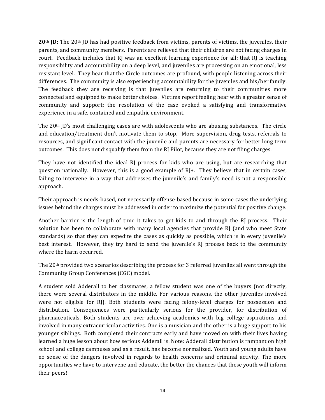**20<sup>th</sup> JD:** The 20<sup>th</sup> JD has had positive feedback from victims, parents of victims, the juveniles, their parents, and community members. Parents are relieved that their children are not facing charges in court. Feedback includes that RJ was an excellent learning experience for all; that RJ is teaching responsibility and accountability on a deep level, and juveniles are processing on an emotional, less resistant level. They hear that the Circle outcomes are profound, with people listening across their differences. The community is also experiencing accountability for the juveniles and his/her family. The feedback they are receiving is that juveniles are returning to their communities more connected and equipped to make better choices. Victims report feeling hear with a greater sense of community and support; the resolution of the case evoked a satisfying and transformative experience in a safe, contained and empathic environment.

The  $20<sup>th</sup>$  JD's most challenging cases are with adolescents who are abusing substances. The circle and education/treatment don't motivate them to stop. More supervision, drug tests, referrals to resources, and significant contact with the juvenile and parents are necessary for better long term outcomes. This does not disqualify them from the  $R$  Pilot, because they are not filing charges.

They have not identified the ideal RJ process for kids who are using, but are researching that question nationally. However, this is a good example of  $R$ ]+. They believe that in certain cases, failing to intervene in a way that addresses the juvenile's and family's need is not a responsible approach.

Their approach is needs-based, not necessarily offense-based because in some cases the underlying issues behind the charges must be addressed in order to maximize the potential for positive change.

Another barrier is the length of time it takes to get kids to and through the RJ process. Their solution has been to collaborate with many local agencies that provide RJ (and who meet State standards) so that they can expedite the cases as quickly as possible, which is in every juvenile's best interest. However, they try hard to send the juvenile's RJ process back to the community where the harm occurred.

The  $20<sup>th</sup>$  provided two scenarios describing the process for 3 referred juveniles all went through the Community Group Conferences (CGC) model.

A student sold Adderall to her classmates, a fellow student was one of the buyers (not directly, there were several distributors in the middle. For various reasons, the other juveniles involved were not eligible for RJ). Both students were facing felony-level charges for possession and distribution. Consequences were particularly serious for the provider, for distribution of pharmaceuticals. Both students are over-achieving academics with big college aspirations and involved in many extracurricular activities. One is a musician and the other is a huge support to his younger siblings. Both completed their contracts early and have moved on with their lives having learned a huge lesson about how serious Adderall is. Note: Adderall distribution is rampant on high school and college campuses and as a result, has become normalized. Youth and young adults have no sense of the dangers involved in regards to health concerns and criminal activity. The more opportunities we have to intervene and educate, the better the chances that these youth will inform their peers!